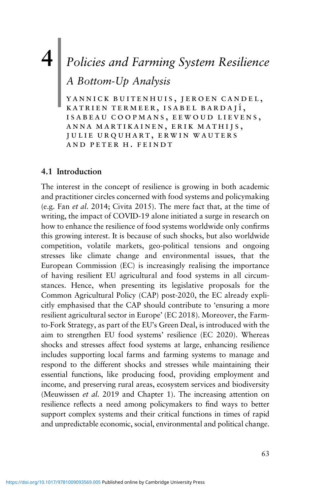# **4** *Policies and Farming System Resilience* |

*A Bottom-Up Analysis*

yannick buitenhuis, jeroen candel, KATRIEN TERMEER, ISABEL BARDAJÍ, isabeau coopmans, eewoud lievens, anna martikainen, erik mathijs, julie urquhart, erwin wauters and peter h. feindt

## **4.1 Introduction**

The interest in the concept of resilience is growing in both academic and practitioner circles concerned with food systems and policymaking (e.g. Fan *et al*. 2014; Civita 2015). The mere fact that, at the time of writing, the impact of COVID-19 alone initiated a surge in research on how to enhance the resilience of food systems worldwide only confirms this growing interest. It is because of such shocks, but also worldwide competition, volatile markets, geo-political tensions and ongoing stresses like climate change and environmental issues, that the European Commission (EC) is increasingly realising the importance of having resilient EU agricultural and food systems in all circumstances. Hence, when presenting its legislative proposals for the Common Agricultural Policy (CAP) post-2020, the EC already explicitly emphasised that the CAP should contribute to 'ensuring a more resilient agricultural sector in Europe' (EC 2018). Moreover, the Farmto-Fork Strategy, as part of the EU's Green Deal, is introduced with the aim to strengthen EU food systems' resilience (EC 2020). Whereas shocks and stresses affect food systems at large, enhancing resilience includes supporting local farms and farming systems to manage and respond to the different shocks and stresses while maintaining their essential functions, like producing food, providing employment and income, and preserving rural areas, ecosystem services and biodiversity (Meuwissen *et al*. 2019 and Chapter 1). The increasing attention on resilience reflects a need among policymakers to find ways to better support complex systems and their critical functions in times of rapid and unpredictable economic, social, environmental and political change.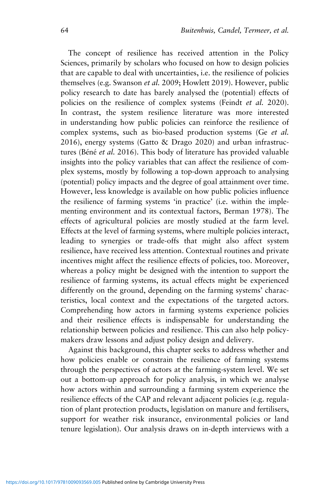The concept of resilience has received attention in the Policy Sciences, primarily by scholars who focused on how to design policies that are capable to deal with uncertainties, i.e. the resilience of policies themselves (e.g. Swanson *et al.* 2009; Howlett 2019). However, public policy research to date has barely analysed the (potential) effects of policies on the resilience of complex systems (Feindt *et al.* 2020). In contrast, the system resilience literature was more interested in understanding how public policies can reinforce the resilience of complex systems, such as bio-based production systems (Ge *et al.* 2016), energy systems (Gatto & Drago 2020) and urban infrastructures (Béné *et al.* 2016). This body of literature has provided valuable insights into the policy variables that can affect the resilience of complex systems, mostly by following a top-down approach to analysing (potential) policy impacts and the degree of goal attainment over time. However, less knowledge is available on how public policies influence the resilience of farming systems 'in practice' (i.e. within the implementing environment and its contextual factors, Berman 1978). The effects of agricultural policies are mostly studied at the farm level. Effects at the level of farming systems, where multiple policies interact, leading to synergies or trade-offs that might also affect system resilience, have received less attention. Contextual routines and private incentives might affect the resilience effects of policies, too. Moreover, whereas a policy might be designed with the intention to support the resilience of farming systems, its actual effects might be experienced differently on the ground, depending on the farming systems' characteristics, local context and the expectations of the targeted actors. Comprehending how actors in farming systems experience policies and their resilience effects is indispensable for understanding the relationship between policies and resilience. This can also help policymakers draw lessons and adjust policy design and delivery.

Against this background, this chapter seeks to address whether and how policies enable or constrain the resilience of farming systems through the perspectives of actors at the farming-system level. We set out a bottom-up approach for policy analysis, in which we analyse how actors within and surrounding a farming system experience the resilience effects of the CAP and relevant adjacent policies (e.g. regulation of plant protection products, legislation on manure and fertilisers, support for weather risk insurance, environmental policies or land tenure legislation). Our analysis draws on in-depth interviews with a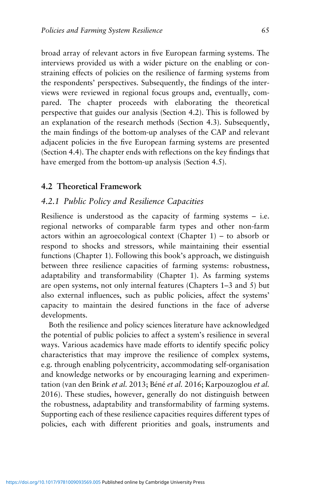broad array of relevant actors in five European farming systems. The interviews provided us with a wider picture on the enabling or constraining effects of policies on the resilience of farming systems from the respondents' perspectives. Subsequently, the findings of the interviews were reviewed in regional focus groups and, eventually, compared. The chapter proceeds with elaborating the theoretical perspective that guides our analysis (Section 4.2). This is followed by an explanation of the research methods (Section 4.3). Subsequently, the main findings of the bottom-up analyses of the CAP and relevant adjacent policies in the five European farming systems are presented (Section 4.4). The chapter ends with reflections on the key findings that have emerged from the bottom-up analysis (Section 4.5).

#### **4.2 Theoretical Framework**

#### *4.2.1 Public Policy and Resilience Capacities*

Resilience is understood as the capacity of farming systems – i.e. regional networks of comparable farm types and other non-farm actors within an agroecological context (Chapter 1) – to absorb or respond to shocks and stressors, while maintaining their essential functions (Chapter 1). Following this book's approach, we distinguish between three resilience capacities of farming systems: robustness, adaptability and transformability (Chapter 1). As farming systems are open systems, not only internal features (Chapters 1–3 and 5) but also external influences, such as public policies, affect the systems' capacity to maintain the desired functions in the face of adverse developments.

Both the resilience and policy sciences literature have acknowledged the potential of public policies to affect a system's resilience in several ways. Various academics have made efforts to identify specific policy characteristics that may improve the resilience of complex systems, e.g. through enabling polycentricity, accommodating self-organisation and knowledge networks or by encouraging learning and experimentation (van den Brink *et al.* 2013; Béné *et al.* 2016; Karpouzoglou *et al.* 2016). These studies, however, generally do not distinguish between the robustness, adaptability and transformability of farming systems. Supporting each of these resilience capacities requires different types of policies, each with different priorities and goals, instruments and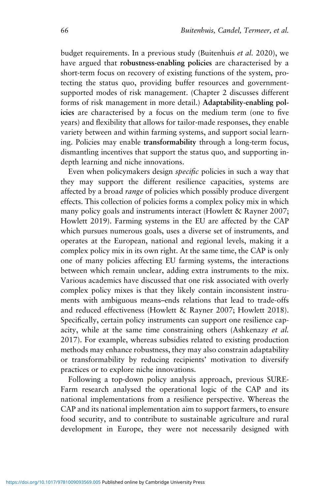budget requirements. In a previous study (Buitenhuis *et al.* 2020), we have argued that **robustness-enabling policies** are characterised by a short-term focus on recovery of existing functions of the system, protecting the status quo, providing buffer resources and governmentsupported modes of risk management. (Chapter 2 discusses different forms of risk management in more detail.) **Adaptability-enabling policies** are characterised by a focus on the medium term (one to five years) and flexibility that allows for tailor-made responses, they enable variety between and within farming systems, and support social learning. Policies may enable **transformability** through a long-term focus, dismantling incentives that support the status quo, and supporting indepth learning and niche innovations.

Even when policymakers design *specific* policies in such a way that they may support the different resilience capacities, systems are affected by a broad *range* of policies which possibly produce divergent effects. This collection of policies forms a complex policy mix in which many policy goals and instruments interact (Howlett & Rayner 2007; Howlett 2019). Farming systems in the EU are affected by the CAP which pursues numerous goals, uses a diverse set of instruments, and operates at the European, national and regional levels, making it a complex policy mix in its own right. At the same time, the CAP is only one of many policies affecting EU farming systems, the interactions between which remain unclear, adding extra instruments to the mix. Various academics have discussed that one risk associated with overly complex policy mixes is that they likely contain inconsistent instruments with ambiguous means–ends relations that lead to trade-offs and reduced effectiveness (Howlett & Rayner 2007; Howlett 2018). Specifically, certain policy instruments can support one resilience capacity, while at the same time constraining others (Ashkenazy *et al.* 2017). For example, whereas subsidies related to existing production methods may enhance robustness, they may also constrain adaptability or transformability by reducing recipients' motivation to diversify practices or to explore niche innovations.

Following a top-down policy analysis approach, previous SURE-Farm research analysed the operational logic of the CAP and its national implementations from a resilience perspective. Whereas the CAP and its national implementation aim to support farmers, to ensure food security, and to contribute to sustainable agriculture and rural development in Europe, they were not necessarily designed with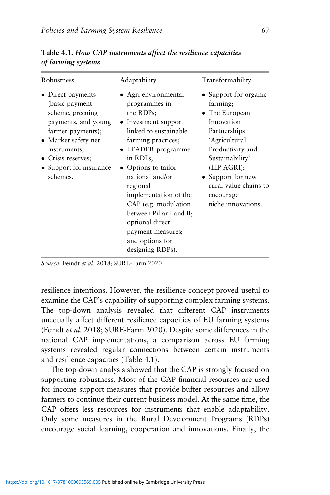| Robustness                                                                                                                                                                                          | Adaptability                                                                                                                                                                                                                                                                                                                                                                  | Transformability                                                                                                                                                                                                                            |
|-----------------------------------------------------------------------------------------------------------------------------------------------------------------------------------------------------|-------------------------------------------------------------------------------------------------------------------------------------------------------------------------------------------------------------------------------------------------------------------------------------------------------------------------------------------------------------------------------|---------------------------------------------------------------------------------------------------------------------------------------------------------------------------------------------------------------------------------------------|
| Direct payments<br>(basic payment<br>scheme, greening<br>payments, and young<br>farmer payments);<br>• Market safety net<br>instruments;<br>• Crisis reserves;<br>Support for insurance<br>schemes. | • Agri-environmental<br>programmes in<br>the RDPs;<br>• Investment support<br>linked to sustainable<br>farming practices;<br>• LEADER programme<br>in RDPs;<br>• Options to tailor<br>national and/or<br>regional<br>implementation of the<br>CAP (e.g. modulation<br>between Pillar I and II;<br>optional direct<br>payment measures;<br>and options for<br>designing RDPs). | • Support for organic<br>farming;<br>• The European<br>Innovation<br>Partnerships<br>'Agricultural<br>Productivity and<br>Sustainability'<br>$(EIP-AGRI);$<br>• Support for new<br>rural value chains to<br>encourage<br>niche innovations. |

**Table 4.1.** *How CAP instruments affect the resilience capacities of farming systems*

*Source*: Feindt *et al*. 2018; SURE-Farm 2020

resilience intentions. However, the resilience concept proved useful to examine the CAP's capability of supporting complex farming systems. The top-down analysis revealed that different CAP instruments unequally affect different resilience capacities of EU farming systems (Feindt *et al.* 2018; SURE-Farm 2020). Despite some differences in the national CAP implementations, a comparison across EU farming systems revealed regular connections between certain instruments and resilience capacities (Table 4.1).

The top-down analysis showed that the CAP is strongly focused on supporting robustness. Most of the CAP financial resources are used for income support measures that provide buffer resources and allow farmers to continue their current business model. At the same time, the CAP offers less resources for instruments that enable adaptability. Only some measures in the Rural Development Programs (RDPs) encourage social learning, cooperation and innovations. Finally, the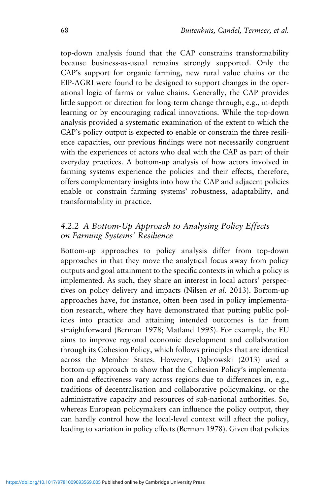top-down analysis found that the CAP constrains transformability because business-as-usual remains strongly supported. Only the CAP's support for organic farming, new rural value chains or the EIP-AGRI were found to be designed to support changes in the operational logic of farms or value chains. Generally, the CAP provides little support or direction for long-term change through, e.g., in-depth learning or by encouraging radical innovations. While the top-down analysis provided a systematic examination of the extent to which the CAP's policy output is expected to enable or constrain the three resilience capacities, our previous findings were not necessarily congruent with the experiences of actors who deal with the CAP as part of their everyday practices. A bottom-up analysis of how actors involved in farming systems experience the policies and their effects, therefore, offers complementary insights into how the CAP and adjacent policies enable or constrain farming systems' robustness, adaptability, and transformability in practice.

# *4.2.2 A Bottom-Up Approach to Analysing Policy Effects on Farming Systems' Resilience*

Bottom-up approaches to policy analysis differ from top-down approaches in that they move the analytical focus away from policy outputs and goal attainment to the specific contexts in which a policy is implemented. As such, they share an interest in local actors' perspectives on policy delivery and impacts (Nilsen *et al.* 2013). Bottom-up approaches have, for instance, often been used in policy implementation research, where they have demonstrated that putting public policies into practice and attaining intended outcomes is far from straightforward (Berman 1978; Matland 1995). For example, the EU aims to improve regional economic development and collaboration through its Cohesion Policy, which follows principles that are identical across the Member States. However, Dąbrowski (2013) used a bottom-up approach to show that the Cohesion Policy's implementation and effectiveness vary across regions due to differences in, e.g., traditions of decentralisation and collaborative policymaking, or the administrative capacity and resources of sub-national authorities. So, whereas European policymakers can influence the policy output, they can hardly control how the local-level context will affect the policy, leading to variation in policy effects (Berman 1978). Given that policies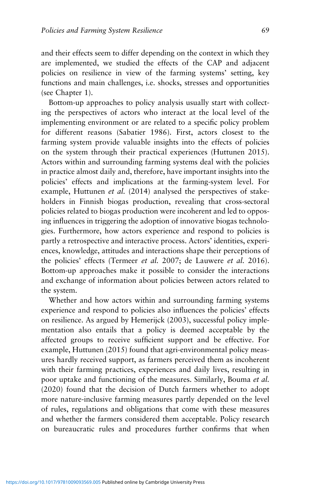and their effects seem to differ depending on the context in which they are implemented, we studied the effects of the CAP and adjacent policies on resilience in view of the farming systems' setting, key functions and main challenges, i.e. shocks, stresses and opportunities (see Chapter 1).

Bottom-up approaches to policy analysis usually start with collecting the perspectives of actors who interact at the local level of the implementing environment or are related to a specific policy problem for different reasons (Sabatier 1986). First, actors closest to the farming system provide valuable insights into the effects of policies on the system through their practical experiences (Huttunen 2015). Actors within and surrounding farming systems deal with the policies in practice almost daily and, therefore, have important insights into the policies' effects and implications at the farming-system level. For example, Huttunen *et al.* (2014) analysed the perspectives of stakeholders in Finnish biogas production, revealing that cross-sectoral policies related to biogas production were incoherent and led to opposing influences in triggering the adoption of innovative biogas technologies. Furthermore, how actors experience and respond to policies is partly a retrospective and interactive process. Actors' identities, experiences, knowledge, attitudes and interactions shape their perceptions of the policies' effects (Termeer *et al.* 2007; de Lauwere *et al.* 2016). Bottom-up approaches make it possible to consider the interactions and exchange of information about policies between actors related to the system.

Whether and how actors within and surrounding farming systems experience and respond to policies also influences the policies' effects on resilience. As argued by Hemerijck (2003), successful policy implementation also entails that a policy is deemed acceptable by the affected groups to receive sufficient support and be effective. For example, Huttunen (2015) found that agri-environmental policy measures hardly received support, as farmers perceived them as incoherent with their farming practices, experiences and daily lives, resulting in poor uptake and functioning of the measures. Similarly, Bouma *et al.* (2020) found that the decision of Dutch farmers whether to adopt more nature-inclusive farming measures partly depended on the level of rules, regulations and obligations that come with these measures and whether the farmers considered them acceptable. Policy research on bureaucratic rules and procedures further confirms that when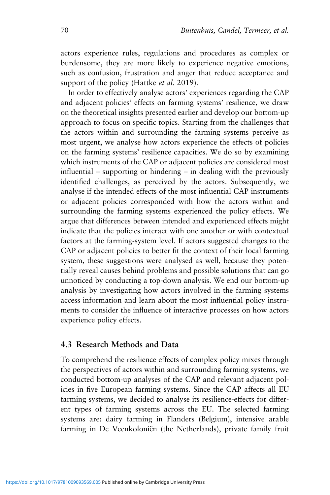actors experience rules, regulations and procedures as complex or burdensome, they are more likely to experience negative emotions, such as confusion, frustration and anger that reduce acceptance and support of the policy (Hattke *et al.* 2019).

In order to effectively analyse actors' experiences regarding the CAP and adjacent policies' effects on farming systems' resilience, we draw on the theoretical insights presented earlier and develop our bottom-up approach to focus on specific topics. Starting from the challenges that the actors within and surrounding the farming systems perceive as most urgent, we analyse how actors experience the effects of policies on the farming systems' resilience capacities. We do so by examining which instruments of the CAP or adjacent policies are considered most influential – supporting or hindering – in dealing with the previously identified challenges, as perceived by the actors. Subsequently, we analyse if the intended effects of the most influential CAP instruments or adjacent policies corresponded with how the actors within and surrounding the farming systems experienced the policy effects. We argue that differences between intended and experienced effects might indicate that the policies interact with one another or with contextual factors at the farming-system level. If actors suggested changes to the CAP or adjacent policies to better fit the context of their local farming system, these suggestions were analysed as well, because they potentially reveal causes behind problems and possible solutions that can go unnoticed by conducting a top-down analysis. We end our bottom-up analysis by investigating how actors involved in the farming systems access information and learn about the most influential policy instruments to consider the influence of interactive processes on how actors experience policy effects.

#### **4.3 Research Methods and Data**

To comprehend the resilience effects of complex policy mixes through the perspectives of actors within and surrounding farming systems, we conducted bottom-up analyses of the CAP and relevant adjacent policies in five European farming systems. Since the CAP affects all EU farming systems, we decided to analyse its resilience-effects for different types of farming systems across the EU. The selected farming systems are: dairy farming in Flanders (Belgium), intensive arable farming in De Veenkoloniën (the Netherlands), private family fruit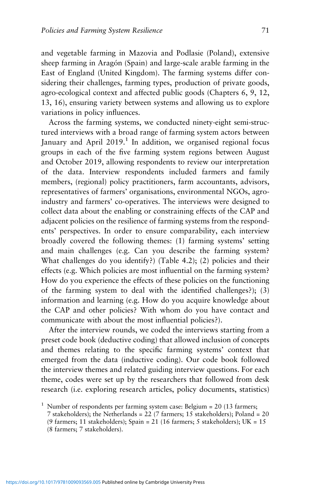and vegetable farming in Mazovia and Podlasie (Poland), extensive sheep farming in Aragón (Spain) and large-scale arable farming in the East of England (United Kingdom). The farming systems differ considering their challenges, farming types, production of private goods, agro-ecological context and affected public goods (Chapters 6, 9, 12, 13, 16), ensuring variety between systems and allowing us to explore variations in policy influences.

Across the farming systems, we conducted ninety-eight semi-structured interviews with a broad range of farming system actors between January and April  $2019<sup>1</sup>$  In addition, we organised regional focus groups in each of the five farming system regions between August and October 2019, allowing respondents to review our interpretation of the data. Interview respondents included farmers and family members, (regional) policy practitioners, farm accountants, advisors, representatives of farmers' organisations, environmental NGOs, agroindustry and farmers' co-operatives. The interviews were designed to collect data about the enabling or constraining effects of the CAP and adjacent policies on the resilience of farming systems from the respondents' perspectives. In order to ensure comparability, each interview broadly covered the following themes: (1) farming systems' setting and main challenges (e.g. Can you describe the farming system? What challenges do you identify?) (Table 4.2); (2) policies and their effects (e.g. Which policies are most influential on the farming system? How do you experience the effects of these policies on the functioning of the farming system to deal with the identified challenges?); (3) information and learning (e.g. How do you acquire knowledge about the CAP and other policies? With whom do you have contact and communicate with about the most influential policies?).

After the interview rounds, we coded the interviews starting from a preset code book (deductive coding) that allowed inclusion of concepts and themes relating to the specific farming systems' context that emerged from the data (inductive coding). Our code book followed the interview themes and related guiding interview questions. For each theme, codes were set up by the researchers that followed from desk research (i.e. exploring research articles, policy documents, statistics)

<sup>&</sup>lt;sup>1</sup> Number of respondents per farming system case: Belgium = 20 (13 farmers;

<sup>7</sup> stakeholders); the Netherlands = 22 (7 farmers; 15 stakeholders); Poland = 20

<sup>(9</sup> farmers; 11 stakeholders); Spain = 21 (16 farmers; 5 stakeholders); UK =  $15$ 

<sup>(8</sup> farmers; 7 stakeholders).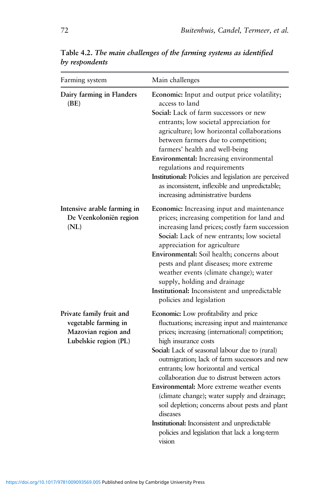| Farming system                                                                                   | Main challenges                                                                                                                                                                                                                                                                                                                                                                                                                                                                                                                                                                                                                         |
|--------------------------------------------------------------------------------------------------|-----------------------------------------------------------------------------------------------------------------------------------------------------------------------------------------------------------------------------------------------------------------------------------------------------------------------------------------------------------------------------------------------------------------------------------------------------------------------------------------------------------------------------------------------------------------------------------------------------------------------------------------|
| Dairy farming in Flanders<br>(BE)                                                                | Economic: Input and output price volatility;<br>access to land<br>Social: Lack of farm successors or new<br>entrants; low societal appreciation for<br>agriculture; low horizontal collaborations<br>between farmers due to competition;<br>farmers' health and well-being<br>Environmental: Increasing environmental<br>regulations and requirements<br>Institutional: Policies and legislation are perceived<br>as inconsistent, inflexible and unpredictable;<br>increasing administrative burdens                                                                                                                                   |
| Intensive arable farming in<br>De Veenkoloniën region<br>(NL)                                    | Economic: Increasing input and maintenance<br>prices; increasing competition for land and<br>increasing land prices; costly farm succession<br>Social: Lack of new entrants; low societal<br>appreciation for agriculture<br>Environmental: Soil health; concerns about<br>pests and plant diseases; more extreme<br>weather events (climate change); water<br>supply, holding and drainage<br>Institutional: Inconsistent and unpredictable<br>policies and legislation                                                                                                                                                                |
| Private family fruit and<br>vegetable farming in<br>Mazovian region and<br>Lubelskie region (PL) | Economic: Low profitability and price<br>fluctuations; increasing input and maintenance<br>prices; increasing (international) competition;<br>high insurance costs<br>Social: Lack of seasonal labour due to (rural)<br>outmigration; lack of farm successors and new<br>entrants; low horizontal and vertical<br>collaboration due to distrust between actors<br>Environmental: More extreme weather events<br>(climate change); water supply and drainage;<br>soil depletion; concerns about pests and plant<br>diseases<br>Institutional: Inconsistent and unpredictable<br>policies and legislation that lack a long-term<br>vision |

**Table 4.2.** *The main challenges of the farming systems as identified by respondents*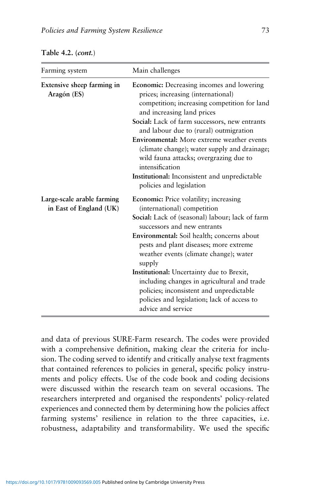| Farming system                                        | Main challenges                                                                                                                                                                                                                                                                                                                                                                                                                                                                                                  |  |
|-------------------------------------------------------|------------------------------------------------------------------------------------------------------------------------------------------------------------------------------------------------------------------------------------------------------------------------------------------------------------------------------------------------------------------------------------------------------------------------------------------------------------------------------------------------------------------|--|
| Extensive sheep farming in<br>Aragón (ES)             | <b>Economic:</b> Decreasing incomes and lowering<br>prices; increasing (international)<br>competition; increasing competition for land<br>and increasing land prices<br>Social: Lack of farm successors, new entrants<br>and labour due to (rural) outmigration<br><b>Environmental:</b> More extreme weather events<br>(climate change); water supply and drainage;<br>wild fauna attacks; overgrazing due to<br>intensification<br>Institutional: Inconsistent and unpredictable<br>policies and legislation   |  |
| Large-scale arable farming<br>in East of England (UK) | Economic: Price volatility; increasing<br>(international) competition<br>Social: Lack of (seasonal) labour; lack of farm<br>successors and new entrants<br>Environmental: Soil health; concerns about<br>pests and plant diseases; more extreme<br>weather events (climate change); water<br>supply<br>Institutional: Uncertainty due to Brexit,<br>including changes in agricultural and trade<br>policies; inconsistent and unpredictable<br>policies and legislation; lack of access to<br>advice and service |  |

| Table 4.2. ( <i>cont</i> .) |
|-----------------------------|
|                             |

and data of previous SURE-Farm research. The codes were provided with a comprehensive definition, making clear the criteria for inclusion. The coding served to identify and critically analyse text fragments that contained references to policies in general, specific policy instruments and policy effects. Use of the code book and coding decisions were discussed within the research team on several occasions. The researchers interpreted and organised the respondents' policy-related experiences and connected them by determining how the policies affect farming systems' resilience in relation to the three capacities, i.e. robustness, adaptability and transformability. We used the specific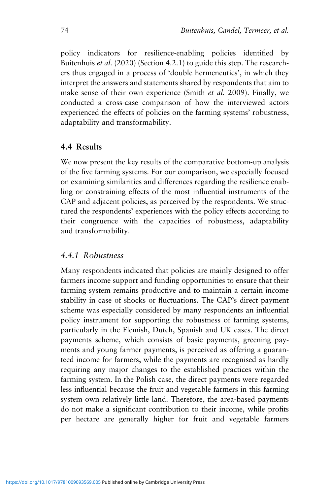policy indicators for resilience-enabling policies identified by Buitenhuis *et al.* (2020) (Section 4.2.1) to guide this step. The researchers thus engaged in a process of 'double hermeneutics', in which they interpret the answers and statements shared by respondents that aim to make sense of their own experience (Smith *et al.* 2009). Finally, we conducted a cross-case comparison of how the interviewed actors experienced the effects of policies on the farming systems' robustness, adaptability and transformability.

#### **4.4 Results**

We now present the key results of the comparative bottom-up analysis of the five farming systems. For our comparison, we especially focused on examining similarities and differences regarding the resilience enabling or constraining effects of the most influential instruments of the CAP and adjacent policies, as perceived by the respondents. We structured the respondents' experiences with the policy effects according to their congruence with the capacities of robustness, adaptability and transformability.

#### *4.4.1 Robustness*

Many respondents indicated that policies are mainly designed to offer farmers income support and funding opportunities to ensure that their farming system remains productive and to maintain a certain income stability in case of shocks or fluctuations. The CAP's direct payment scheme was especially considered by many respondents an influential policy instrument for supporting the robustness of farming systems, particularly in the Flemish, Dutch, Spanish and UK cases. The direct payments scheme, which consists of basic payments, greening payments and young farmer payments, is perceived as offering a guaranteed income for farmers, while the payments are recognised as hardly requiring any major changes to the established practices within the farming system. In the Polish case, the direct payments were regarded less influential because the fruit and vegetable farmers in this farming system own relatively little land. Therefore, the area-based payments do not make a significant contribution to their income, while profits per hectare are generally higher for fruit and vegetable farmers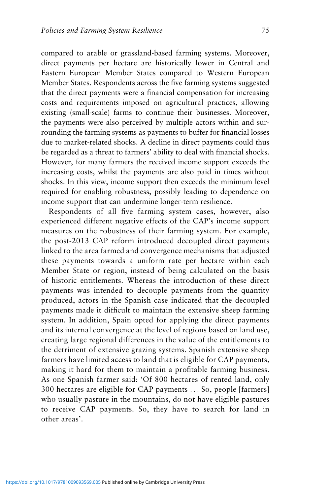compared to arable or grassland-based farming systems. Moreover, direct payments per hectare are historically lower in Central and Eastern European Member States compared to Western European Member States. Respondents across the five farming systems suggested that the direct payments were a financial compensation for increasing costs and requirements imposed on agricultural practices, allowing existing (small-scale) farms to continue their businesses. Moreover, the payments were also perceived by multiple actors within and surrounding the farming systems as payments to buffer for financial losses due to market-related shocks. A decline in direct payments could thus be regarded as a threat to farmers' ability to deal with financial shocks. However, for many farmers the received income support exceeds the increasing costs, whilst the payments are also paid in times without shocks. In this view, income support then exceeds the minimum level required for enabling robustness, possibly leading to dependence on income support that can undermine longer-term resilience.

Respondents of all five farming system cases, however, also experienced different negative effects of the CAP's income support measures on the robustness of their farming system. For example, the post-2013 CAP reform introduced decoupled direct payments linked to the area farmed and convergence mechanisms that adjusted these payments towards a uniform rate per hectare within each Member State or region, instead of being calculated on the basis of historic entitlements. Whereas the introduction of these direct payments was intended to decouple payments from the quantity produced, actors in the Spanish case indicated that the decoupled payments made it difficult to maintain the extensive sheep farming system. In addition, Spain opted for applying the direct payments and its internal convergence at the level of regions based on land use, creating large regional differences in the value of the entitlements to the detriment of extensive grazing systems. Spanish extensive sheep farmers have limited access to land that is eligible for CAP payments, making it hard for them to maintain a profitable farming business. As one Spanish farmer said: 'Of 800 hectares of rented land, only 300 hectares are eligible for CAP payments ... So, people [farmers] who usually pasture in the mountains, do not have eligible pastures to receive CAP payments. So, they have to search for land in other areas'.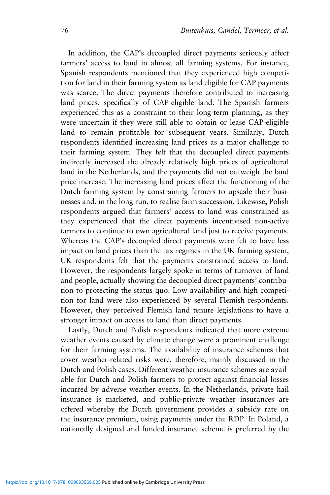In addition, the CAP's decoupled direct payments seriously affect farmers' access to land in almost all farming systems. For instance, Spanish respondents mentioned that they experienced high competition for land in their farming system as land eligible for CAP payments was scarce. The direct payments therefore contributed to increasing land prices, specifically of CAP-eligible land. The Spanish farmers experienced this as a constraint to their long-term planning, as they were uncertain if they were still able to obtain or lease CAP-eligible land to remain profitable for subsequent years. Similarly, Dutch respondents identified increasing land prices as a major challenge to their farming system. They felt that the decoupled direct payments indirectly increased the already relatively high prices of agricultural land in the Netherlands, and the payments did not outweigh the land price increase. The increasing land prices affect the functioning of the Dutch farming system by constraining farmers to upscale their businesses and, in the long run, to realise farm succession. Likewise, Polish respondents argued that farmers' access to land was constrained as they experienced that the direct payments incentivised non-active farmers to continue to own agricultural land just to receive payments. Whereas the CAP's decoupled direct payments were felt to have less impact on land prices than the tax regimes in the UK farming system, UK respondents felt that the payments constrained access to land. However, the respondents largely spoke in terms of turnover of land and people, actually showing the decoupled direct payments' contribution to protecting the status quo. Low availability and high competition for land were also experienced by several Flemish respondents. However, they perceived Flemish land tenure legislations to have a stronger impact on access to land than direct payments.

Lastly, Dutch and Polish respondents indicated that more extreme weather events caused by climate change were a prominent challenge for their farming systems. The availability of insurance schemes that cover weather-related risks were, therefore, mainly discussed in the Dutch and Polish cases. Different weather insurance schemes are available for Dutch and Polish farmers to protect against financial losses incurred by adverse weather events. In the Netherlands, private hail insurance is marketed, and public-private weather insurances are offered whereby the Dutch government provides a subsidy rate on the insurance premium, using payments under the RDP. In Poland, a nationally designed and funded insurance scheme is preferred by the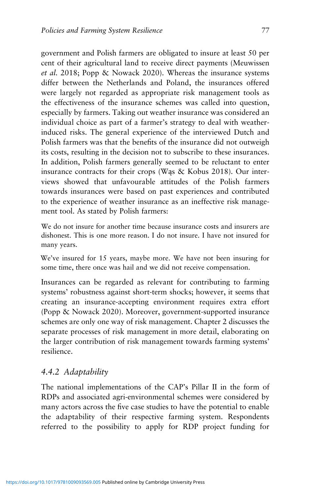government and Polish farmers are obligated to insure at least 50 per cent of their agricultural land to receive direct payments (Meuwissen *et al.* 2018; Popp & Nowack 2020). Whereas the insurance systems differ between the Netherlands and Poland, the insurances offered were largely not regarded as appropriate risk management tools as the effectiveness of the insurance schemes was called into question, especially by farmers. Taking out weather insurance was considered an individual choice as part of a farmer's strategy to deal with weatherinduced risks. The general experience of the interviewed Dutch and Polish farmers was that the benefits of the insurance did not outweigh its costs, resulting in the decision not to subscribe to these insurances. In addition, Polish farmers generally seemed to be reluctant to enter insurance contracts for their crops (Wąs & Kobus 2018). Our interviews showed that unfavourable attitudes of the Polish farmers towards insurances were based on past experiences and contributed to the experience of weather insurance as an ineffective risk management tool. As stated by Polish farmers:

We do not insure for another time because insurance costs and insurers are dishonest. This is one more reason. I do not insure. I have not insured for many years.

We've insured for 15 years, maybe more. We have not been insuring for some time, there once was hail and we did not receive compensation.

Insurances can be regarded as relevant for contributing to farming systems' robustness against short-term shocks; however, it seems that creating an insurance-accepting environment requires extra effort (Popp & Nowack 2020). Moreover, government-supported insurance schemes are only one way of risk management. Chapter 2 discusses the separate processes of risk management in more detail, elaborating on the larger contribution of risk management towards farming systems' resilience.

## *4.4.2 Adaptability*

The national implementations of the CAP's Pillar II in the form of RDPs and associated agri-environmental schemes were considered by many actors across the five case studies to have the potential to enable the adaptability of their respective farming system. Respondents referred to the possibility to apply for RDP project funding for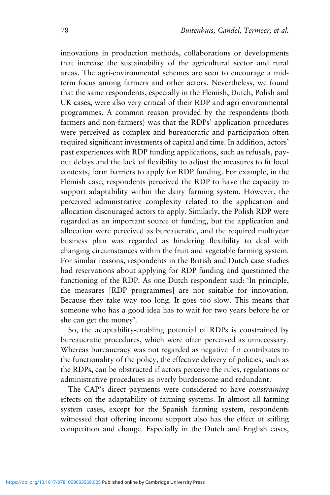innovations in production methods, collaborations or developments that increase the sustainability of the agricultural sector and rural areas. The agri-environmental schemes are seen to encourage a midterm focus among farmers and other actors. Nevertheless, we found that the same respondents, especially in the Flemish, Dutch, Polish and UK cases, were also very critical of their RDP and agri-environmental programmes. A common reason provided by the respondents (both farmers and non-farmers) was that the RDPs' application procedures were perceived as complex and bureaucratic and participation often required significant investments of capital and time. In addition, actors' past experiences with RDP funding applications, such as refusals, payout delays and the lack of flexibility to adjust the measures to fit local contexts, form barriers to apply for RDP funding. For example, in the Flemish case, respondents perceived the RDP to have the capacity to support adaptability within the dairy farming system. However, the perceived administrative complexity related to the application and allocation discouraged actors to apply. Similarly, the Polish RDP were regarded as an important source of funding, but the application and allocation were perceived as bureaucratic, and the required multiyear business plan was regarded as hindering flexibility to deal with changing circumstances within the fruit and vegetable farming system. For similar reasons, respondents in the British and Dutch case studies had reservations about applying for RDP funding and questioned the functioning of the RDP. As one Dutch respondent said: 'In principle, the measures [RDP programmes] are not suitable for innovation. Because they take way too long. It goes too slow. This means that someone who has a good idea has to wait for two years before he or she can get the money'.

So, the adaptability-enabling potential of RDPs is constrained by bureaucratic procedures, which were often perceived as unnecessary. Whereas bureaucracy was not regarded as negative if it contributes to the functionality of the policy, the effective delivery of policies, such as the RDPs, can be obstructed if actors perceive the rules, regulations or administrative procedures as overly burdensome and redundant.

The CAP's direct payments were considered to have *constraining* effects on the adaptability of farming systems. In almost all farming system cases, except for the Spanish farming system, respondents witnessed that offering income support also has the effect of stifling competition and change. Especially in the Dutch and English cases,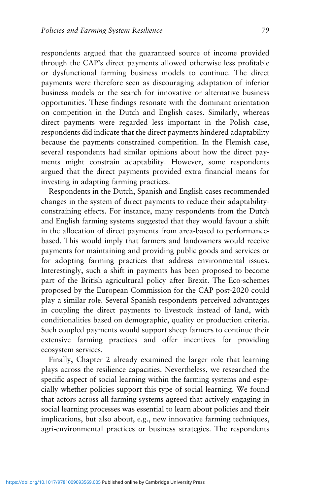respondents argued that the guaranteed source of income provided through the CAP's direct payments allowed otherwise less profitable or dysfunctional farming business models to continue. The direct payments were therefore seen as discouraging adaptation of inferior business models or the search for innovative or alternative business opportunities. These findings resonate with the dominant orientation on competition in the Dutch and English cases. Similarly, whereas direct payments were regarded less important in the Polish case, respondents did indicate that the direct payments hindered adaptability because the payments constrained competition. In the Flemish case, several respondents had similar opinions about how the direct payments might constrain adaptability. However, some respondents argued that the direct payments provided extra financial means for investing in adapting farming practices.

Respondents in the Dutch, Spanish and English cases recommended changes in the system of direct payments to reduce their adaptabilityconstraining effects. For instance, many respondents from the Dutch and English farming systems suggested that they would favour a shift in the allocation of direct payments from area-based to performancebased. This would imply that farmers and landowners would receive payments for maintaining and providing public goods and services or for adopting farming practices that address environmental issues. Interestingly, such a shift in payments has been proposed to become part of the British agricultural policy after Brexit. The Eco-schemes proposed by the European Commission for the CAP post-2020 could play a similar role. Several Spanish respondents perceived advantages in coupling the direct payments to livestock instead of land, with conditionalities based on demographic, quality or production criteria. Such coupled payments would support sheep farmers to continue their extensive farming practices and offer incentives for providing ecosystem services.

Finally, Chapter 2 already examined the larger role that learning plays across the resilience capacities. Nevertheless, we researched the specific aspect of social learning within the farming systems and especially whether policies support this type of social learning. We found that actors across all farming systems agreed that actively engaging in social learning processes was essential to learn about policies and their implications, but also about, e.g., new innovative farming techniques, agri-environmental practices or business strategies. The respondents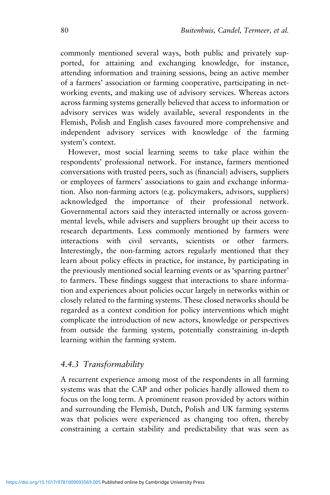commonly mentioned several ways, both public and privately supported, for attaining and exchanging knowledge, for instance, attending information and training sessions, being an active member of a farmers' association or farming cooperative, participating in networking events, and making use of advisory services. Whereas actors across farming systems generally believed that access to information or advisory services was widely available, several respondents in the Flemish, Polish and English cases favoured more comprehensive and independent advisory services with knowledge of the farming system's context.

However, most social learning seems to take place within the respondents' professional network. For instance, farmers mentioned conversations with trusted peers, such as (financial) advisers, suppliers or employees of farmers' associations to gain and exchange information. Also non-farming actors (e.g. policymakers, advisors, suppliers) acknowledged the importance of their professional network. Governmental actors said they interacted internally or across governmental levels, while advisers and suppliers brought up their access to research departments. Less commonly mentioned by farmers were interactions with civil servants, scientists or other farmers. Interestingly, the non-farming actors regularly mentioned that they learn about policy effects in practice, for instance, by participating in the previously mentioned social learning events or as 'sparring partner' to farmers. These findings suggest that interactions to share information and experiences about policies occur largely in networks within or closely related to the farming systems. These closed networks should be regarded as a context condition for policy interventions which might complicate the introduction of new actors, knowledge or perspectives from outside the farming system, potentially constraining in-depth learning within the farming system.

#### *4.4.3 Transformability*

A recurrent experience among most of the respondents in all farming systems was that the CAP and other policies hardly allowed them to focus on the long term. A prominent reason provided by actors within and surrounding the Flemish, Dutch, Polish and UK farming systems was that policies were experienced as changing too often, thereby constraining a certain stability and predictability that was seen as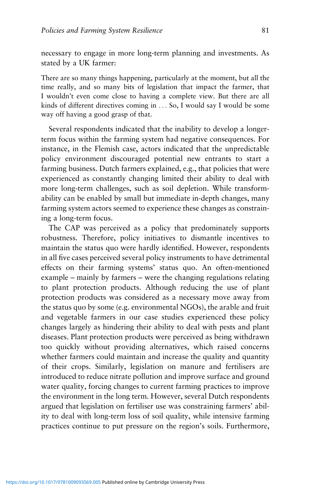necessary to engage in more long-term planning and investments. As stated by a UK farmer:

There are so many things happening, particularly at the moment, but all the time really, and so many bits of legislation that impact the farmer, that I wouldn't even come close to having a complete view. But there are all kinds of different directives coming in ... So, I would say I would be some way off having a good grasp of that.

Several respondents indicated that the inability to develop a longerterm focus within the farming system had negative consequences. For instance, in the Flemish case, actors indicated that the unpredictable policy environment discouraged potential new entrants to start a farming business. Dutch farmers explained, e.g., that policies that were experienced as constantly changing limited their ability to deal with more long-term challenges, such as soil depletion. While transformability can be enabled by small but immediate in-depth changes, many farming system actors seemed to experience these changes as constraining a long-term focus.

The CAP was perceived as a policy that predominately supports robustness. Therefore, policy initiatives to dismantle incentives to maintain the status quo were hardly identified. However, respondents in all five cases perceived several policy instruments to have detrimental effects on their farming systems' status quo. An often-mentioned example – mainly by farmers – were the changing regulations relating to plant protection products. Although reducing the use of plant protection products was considered as a necessary move away from the status quo by some (e.g. environmental NGOs), the arable and fruit and vegetable farmers in our case studies experienced these policy changes largely as hindering their ability to deal with pests and plant diseases. Plant protection products were perceived as being withdrawn too quickly without providing alternatives, which raised concerns whether farmers could maintain and increase the quality and quantity of their crops. Similarly, legislation on manure and fertilisers are introduced to reduce nitrate pollution and improve surface and ground water quality, forcing changes to current farming practices to improve the environment in the long term. However, several Dutch respondents argued that legislation on fertiliser use was constraining farmers' ability to deal with long-term loss of soil quality, while intensive farming practices continue to put pressure on the region's soils. Furthermore,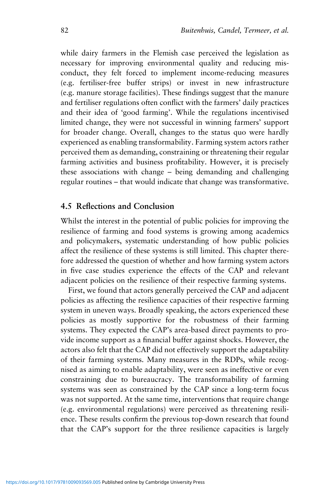while dairy farmers in the Flemish case perceived the legislation as necessary for improving environmental quality and reducing misconduct, they felt forced to implement income-reducing measures (e.g. fertiliser-free buffer strips) or invest in new infrastructure (e.g. manure storage facilities). These findings suggest that the manure and fertiliser regulations often conflict with the farmers' daily practices and their idea of 'good farming'. While the regulations incentivised limited change, they were not successful in winning farmers' support for broader change. Overall, changes to the status quo were hardly experienced as enabling transformability. Farming system actors rather perceived them as demanding, constraining or threatening their regular farming activities and business profitability. However, it is precisely these associations with change – being demanding and challenging regular routines – that would indicate that change was transformative.

#### **4.5 Reflections and Conclusion**

Whilst the interest in the potential of public policies for improving the resilience of farming and food systems is growing among academics and policymakers, systematic understanding of how public policies affect the resilience of these systems is still limited. This chapter therefore addressed the question of whether and how farming system actors in five case studies experience the effects of the CAP and relevant adjacent policies on the resilience of their respective farming systems.

First, we found that actors generally perceived the CAP and adjacent policies as affecting the resilience capacities of their respective farming system in uneven ways. Broadly speaking, the actors experienced these policies as mostly supportive for the robustness of their farming systems. They expected the CAP's area-based direct payments to provide income support as a financial buffer against shocks. However, the actors also felt that the CAP did not effectively support the adaptability of their farming systems. Many measures in the RDPs, while recognised as aiming to enable adaptability, were seen as ineffective or even constraining due to bureaucracy. The transformability of farming systems was seen as constrained by the CAP since a long-term focus was not supported. At the same time, interventions that require change (e.g. environmental regulations) were perceived as threatening resilience. These results confirm the previous top-down research that found that the CAP's support for the three resilience capacities is largely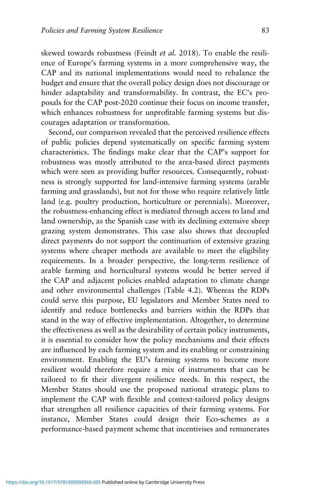skewed towards robustness (Feindt *et al.* 2018). To enable the resilience of Europe's farming systems in a more comprehensive way, the CAP and its national implementations would need to rebalance the budget and ensure that the overall policy design does not discourage or hinder adaptability and transformability. In contrast, the EC's proposals for the CAP post-2020 continue their focus on income transfer, which enhances robustness for unprofitable farming systems but discourages adaptation or transformation.

Second, our comparison revealed that the perceived resilience effects of public policies depend systematically on specific farming system characteristics. The findings make clear that the CAP's support for robustness was mostly attributed to the area-based direct payments which were seen as providing buffer resources. Consequently, robustness is strongly supported for land-intensive farming systems (arable farming and grasslands), but not for those who require relatively little land (e.g. poultry production, horticulture or perennials). Moreover, the robustness-enhancing effect is mediated through access to land and land ownership, as the Spanish case with its declining extensive sheep grazing system demonstrates. This case also shows that decoupled direct payments do not support the continuation of extensive grazing systems where cheaper methods are available to meet the eligibility requirements. In a broader perspective, the long-term resilience of arable farming and horticultural systems would be better served if the CAP and adjacent policies enabled adaptation to climate change and other environmental challenges (Table 4.2). Whereas the RDPs could serve this purpose, EU legislators and Member States need to identify and reduce bottlenecks and barriers within the RDPs that stand in the way of effective implementation. Altogether, to determine the effectiveness as well as the desirability of certain policy instruments, it is essential to consider how the policy mechanisms and their effects are influenced by each farming system and its enabling or constraining environment. Enabling the EU's farming systems to become more resilient would therefore require a mix of instruments that can be tailored to fit their divergent resilience needs. In this respect, the Member States should use the proposed national strategic plans to implement the CAP with flexible and context-tailored policy designs that strengthen all resilience capacities of their farming systems. For instance, Member States could design their Eco-schemes as a performance-based payment scheme that incentivises and remunerates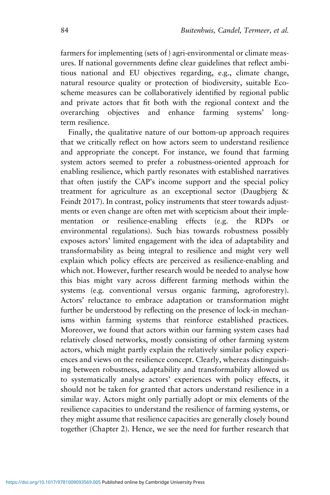farmers for implementing (sets of ) agri-environmental or climate measures. If national governments define clear guidelines that reflect ambitious national and EU objectives regarding, e.g., climate change, natural resource quality or protection of biodiversity, suitable Ecoscheme measures can be collaboratively identified by regional public and private actors that fit both with the regional context and the overarching objectives and enhance farming systems' longterm resilience.

Finally, the qualitative nature of our bottom-up approach requires that we critically reflect on how actors seem to understand resilience and appropriate the concept. For instance, we found that farming system actors seemed to prefer a robustness-oriented approach for enabling resilience, which partly resonates with established narratives that often justify the CAP's income support and the special policy treatment for agriculture as an exceptional sector (Daugbjerg  $\&$ Feindt 2017). In contrast, policy instruments that steer towards adjustments or even change are often met with scepticism about their implementation or resilience-enabling effects (e.g. the RDPs or environmental regulations). Such bias towards robustness possibly exposes actors' limited engagement with the idea of adaptability and transformability as being integral to resilience and might very well explain which policy effects are perceived as resilience-enabling and which not. However, further research would be needed to analyse how this bias might vary across different farming methods within the systems (e.g. conventional versus organic farming, agroforestry). Actors' reluctance to embrace adaptation or transformation might further be understood by reflecting on the presence of lock-in mechanisms within farming systems that reinforce established practices. Moreover, we found that actors within our farming system cases had relatively closed networks, mostly consisting of other farming system actors, which might partly explain the relatively similar policy experiences and views on the resilience concept. Clearly, whereas distinguishing between robustness, adaptability and transformability allowed us to systematically analyse actors' experiences with policy effects, it should not be taken for granted that actors understand resilience in a similar way. Actors might only partially adopt or mix elements of the resilience capacities to understand the resilience of farming systems, or they might assume that resilience capacities are generally closely bound together (Chapter 2). Hence, we see the need for further research that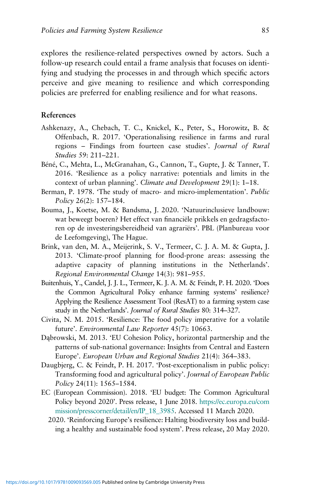explores the resilience-related perspectives owned by actors. Such a follow-up research could entail a frame analysis that focuses on identifying and studying the processes in and through which specific actors perceive and give meaning to resilience and which corresponding policies are preferred for enabling resilience and for what reasons.

#### **References**

- Ashkenazy, A., Chebach, T. C., Knickel, K., Peter, S., Horowitz, B. & Offenbach, R. 2017. 'Operationalising resilience in farms and rural regions – Findings from fourteen case studies'. *Journal of Rural Studies* 59: 211–221.
- Béné, C., Mehta, L., McGranahan, G., Cannon, T., Gupte, J. & Tanner, T. 2016. 'Resilience as a policy narrative: potentials and limits in the context of urban planning'. *Climate and Development* 29(1): 1–18.
- Berman, P. 1978. 'The study of macro- and micro-implementation'. *Public Policy* 26(2): 157–184.
- Bouma, J., Koetse, M. & Bandsma, J. 2020. 'Natuurinclusieve landbouw: wat beweegt boeren? Het effect van financiële prikkels en gedragsfactoren op de investeringsbereidheid van agrariërs'. PBL (Planbureau voor de Leefomgeving), The Hague.
- Brink, van den, M. A., Meijerink, S. V., Termeer, C. J. A. M. & Gupta, J. 2013. 'Climate-proof planning for flood-prone areas: assessing the adaptive capacity of planning institutions in the Netherlands'. *Regional Environmental Change* 14(3): 981–955.
- Buitenhuis, Y., Candel, J. J. L., Termeer, K. J. A. M. & Feindt, P. H. 2020. 'Does the Common Agricultural Policy enhance farming systems' resilience? Applying the Resilience Assessment Tool (ResAT) to a farming system case study in the Netherlands'. *Journal of Rural Studies* 80: 314–327.
- Civita, N. M. 2015. 'Resilience: The food policy imperative for a volatile future'. *Environmental Law Reporter* 45(7): 10663.
- Dąbrowski, M. 2013. 'EU Cohesion Policy, horizontal partnership and the patterns of sub-national governance: Insights from Central and Eastern Europe'. *European Urban and Regional Studies* 21(4): 364–383.
- Daugbjerg, C. & Feindt, P. H. 2017. 'Post-exceptionalism in public policy: Transforming food and agricultural policy'. *Journal of European Public Policy* 24(11): 1565–1584.
- EC (European Commission). 2018. 'EU budget: The Common Agricultural Policy beyond 2020'. Press release, 1 June 2018. [https://ec.europa.eu/com](https://ec.europa.eu/commission/presscorner/detail/en/IP_18_3985) [mission/presscorner/detail/en/IP\\_18\\_3985](https://ec.europa.eu/commission/presscorner/detail/en/IP_18_3985). Accessed 11 March 2020.
	- 2020. 'Reinforcing Europe's resilience: Halting biodiversity loss and building a healthy and sustainable food system'. Press release, 20 May 2020.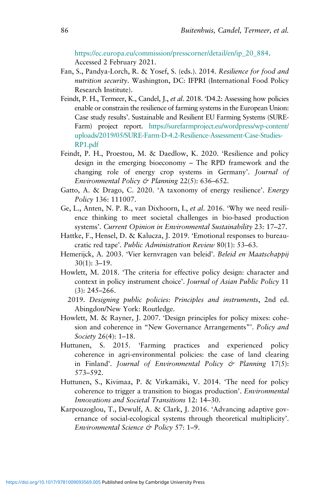[https://ec.europa.eu/commission/presscorner/detail/en/ip\\_20\\_884.](https://ec.europa.eu/commission/presscorner/detail/en/ip_20_884) Accessed 2 February 2021.

- Fan, S., Pandya-Lorch, R. & Yosef, S. (eds.). 2014. *Resilience for food and nutrition security*. Washington, DC: IFPRI (International Food Policy Research Institute).
- Feindt, P. H., Termeer, K., Candel, J., *et al*. 2018. 'D4.2: Assessing how policies enable or constrain the resilience of farming systems in the European Union: Case study results'. Sustainable and Resilient EU Farming Systems (SURE-Farm) project report. [https://surefarmproject.eu/wordpress/wp-content/](https://surefarmproject.eu/wordpress/wp-content/uploads/2019/05/SURE-Farm-D-4.2-Resilience-Assessment-Case-Studies-RP1.pdf) [uploads/2019/05/SURE-Farm-D-4.2-Resilience-Assessment-Case-Studies-](https://surefarmproject.eu/wordpress/wp-content/uploads/2019/05/SURE-Farm-D-4.2-Resilience-Assessment-Case-Studies-RP1.pdf)[RP1.pdf](https://surefarmproject.eu/wordpress/wp-content/uploads/2019/05/SURE-Farm-D-4.2-Resilience-Assessment-Case-Studies-RP1.pdf)
- Feindt, P. H., Proestou, M. & Daedlow, K. 2020. 'Resilience and policy design in the emerging bioeconomy – The RPD framework and the changing role of energy crop systems in Germany'. *Journal of Environmental Policy & Planning* 22(5): 636–652.
- Gatto, A. & Drago, C. 2020. 'A taxonomy of energy resilience'. *Energy Policy* 136: 111007.
- Ge, L., Anten, N. P. R., van Dixhoorn, I., *et al*. 2016. 'Why we need resilience thinking to meet societal challenges in bio-based production systems'. *Current Opinion in Environmental Sustainability* 23: 17–27.
- Hattke, F., Hensel, D. & Kalucza, J. 2019. 'Emotional responses to bureaucratic red tape'. *Public Administration Review* 80(1): 53–63.
- Hemerijck, A. 2003. 'Vier kernvragen van beleid'. *Beleid en Maatschappij* 30(1): 3–19.
- Howlett, M. 2018. 'The criteria for effective policy design: character and context in policy instrument choice'. *Journal of Asian Public Policy* 11 (3): 245–266.
	- 2019. *Designing public policies: Principles and instruments*, 2nd ed. Abingdon/New York: Routledge.
- Howlett, M. & Rayner, J. 2007. 'Design principles for policy mixes: cohesion and coherence in "New Governance Arrangements"'. *Policy and Society* 26(4): 1–18.
- Huttunen, S. 2015. 'Farming practices and experienced policy coherence in agri-environmental policies: the case of land clearing in Finland'. *Journal of Environmental Policy & Planning* 17(5): 573–592.
- Huttunen, S., Kivimaa, P. & Virkamäki, V. 2014. 'The need for policy coherence to trigger a transition to biogas production'. *Environmental Innovations and Societal Transitions* 12: 14–30.
- Karpouzoglou, T., Dewulf, A. & Clark, J. 2016. 'Advancing adaptive governance of social-ecological systems through theoretical multiplicity'. *Environmental Science & Policy* 57: 1–9.